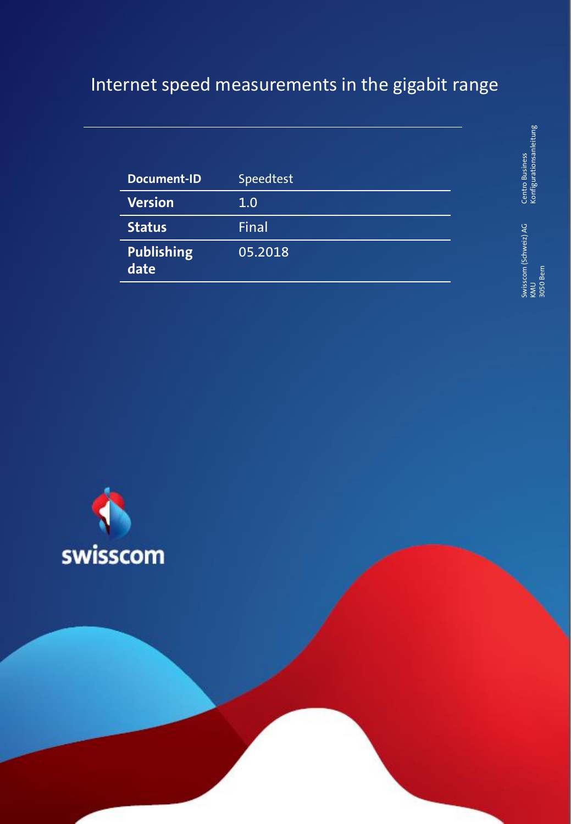# Internet speed measurements in the gigabit range

| Document-ID               | Speedtest |
|---------------------------|-----------|
| Version                   | 1.0       |
| <b>Status</b>             | Final     |
| <b>Publishing</b><br>date | 05.2018   |

Centro Business<br>Konfigurationsanleitung Konfigurationsanleitung

1 Centro Business (Sales de la California) en la constantida de la constantida de la contro Business (California) en la contro Business (California) en la contro Business (California) en la contro Business (California) en Swisscom (Schweiz) AG Swisscom (Schweiz) AG<br>KMU<br>3050 Bern 3050 Bern

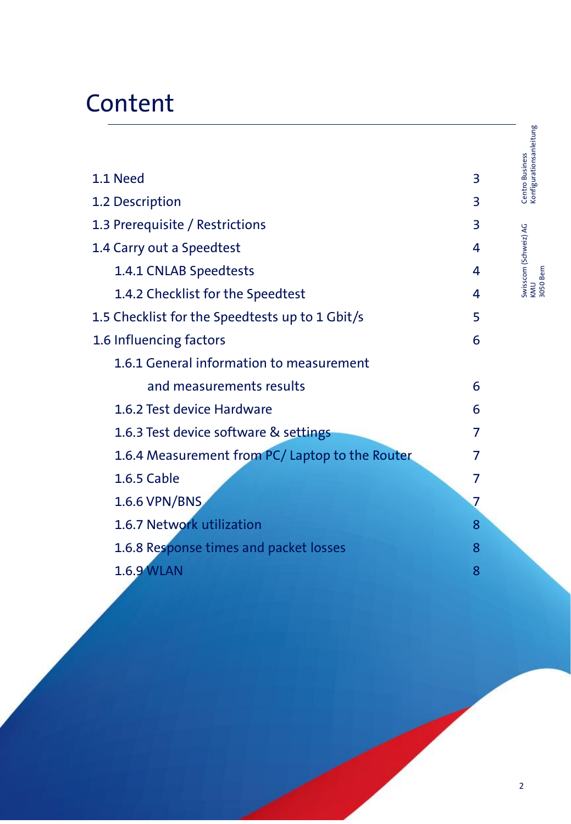# **Content**

|                                                 |   | Konfigurationsanleitung |
|-------------------------------------------------|---|-------------------------|
| 1.1 Need                                        | 3 | Centro Business         |
| 1.2 Description                                 | 3 |                         |
| 1.3 Prerequisite / Restrictions                 | 3 |                         |
| 1.4 Carry out a Speedtest                       | 4 | Swisscom (Schweiz) AG   |
| 1.4.1 CNLAB Speedtests                          | 4 | KMU<br>3050 Bern        |
| 1.4.2 Checklist for the Speedtest               | 4 |                         |
| 1.5 Checklist for the Speedtests up to 1 Gbit/s | 5 |                         |
| 1.6 Influencing factors                         | 6 |                         |
| 1.6.1 General information to measurement        |   |                         |
| and measurements results                        | 6 |                         |
| 1.6.2 Test device Hardware                      | 6 |                         |
| 1.6.3 Test device software & settings           | 7 |                         |
| 1.6.4 Measurement from PC/ Laptop to the Router | 7 |                         |
| 1.6.5 Cable                                     | 7 |                         |
| 1.6.6 VPN/BNS                                   | 7 |                         |
| 1.6.7 Network utilization                       | 8 |                         |
| 1.6.8 Response times and packet losses          | 8 |                         |
| <b>1.6.9 WLAN</b>                               | 8 |                         |
|                                                 |   |                         |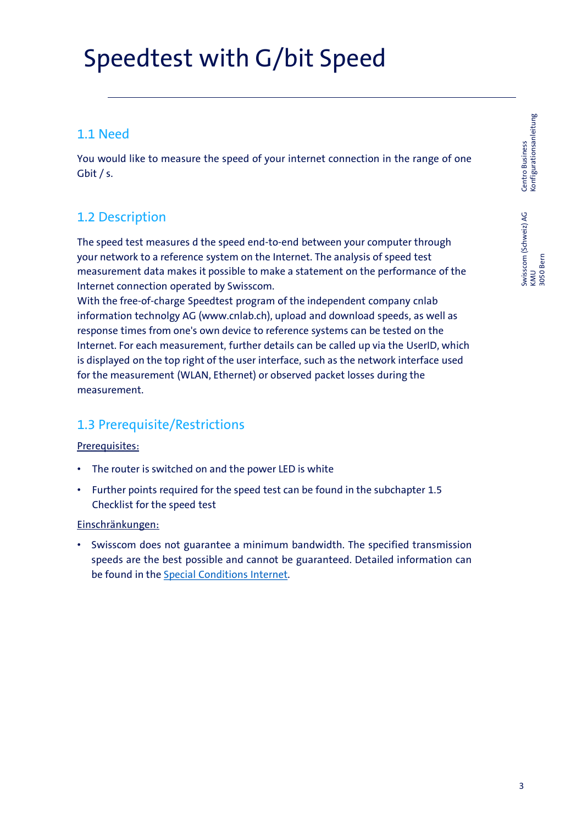# Speedtest with G/bit Speed

### 1.1 Need

You would like to measure the speed of your internet connection in the range of one Gbit / s.

# 1.2 Description

The speed test measures d the speed end-to-end between your computer through your network to a reference system on the Internet. The analysis of speed test measurement data makes it possible to make a statement on the performance of the Internet connection operated by Swisscom.

With the free-of-charge Speedtest program of the independent company cnlab information technolgy AG (www.cnlab.ch), upload and download speeds, as well as response times from one's own device to reference systems can be tested on the Internet. For each measurement, further details can be called up via the UserID, which is displayed on the top right of the user interface, such as the network interface used for the measurement (WLAN, Ethernet) or observed packet losses during the measurement.

# 1.3 Prerequisite/Restrictions

### Prerequisites:

- The router is switched on and the power LED is white
- Further points required for the speed test can be found in the subchapter 1.5 Checklist for the speed test

### Einschränkungen:

• Swisscom does not guarantee a minimum bandwidth. The specified transmission speeds are the best possible and cannot be guaranteed. Detailed information can be found in the Special [Conditions](https://www.swisscom.ch/content/dam/swisscom/en/res/residential-additional-pages/legal-aspects/BB-internet-en.pdf) Internet.

Centro Business<br>Konfigurationsanleitung Konfigurationsanleitung 3 Centro Business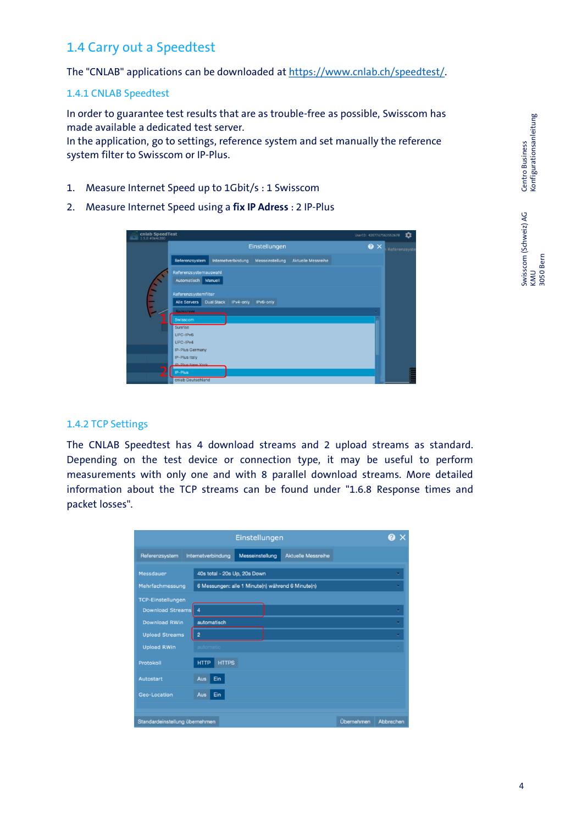## 1.4 Carry out a Speedtest

The "CNLAB" applications can be downloaded at [https://www.cnlab.ch/speedtest/.](https://www.cnlab.ch/speedtest/)

### 1.4.1 CNLAB Speedtest

In order to guarantee test results that are as trouble-free as possible, Swisscom has made available a dedicated test server.

In the application, go to settings, reference system and set manually the reference system filter to Swisscom or IP-Plus.

- 1. Measure Internet Speed up to 1Gbit/s : 1 Swisscom
- 2. Measure Internet Speed using a **fix IP Adress** : 2 IP-Plus



#### 1.4.2 TCP Settings

The CNLAB Speedtest has 4 download streams and 2 upload streams as standard. Depending on the test device or connection type, it may be useful to perform measurements with only one and with 8 parallel download streams. More detailed information about the TCP streams can be found under "1.6.8 Response times and packet losses".

| Einstellungen                  |                              |                                                   |                           |            |           |  |  |  |
|--------------------------------|------------------------------|---------------------------------------------------|---------------------------|------------|-----------|--|--|--|
| Referenzsystem                 | Internetverbindung           | Messeinstellung                                   | <b>Aktuelle Messreihe</b> |            |           |  |  |  |
| Messdauer                      | 40s total - 20s Up, 20s Down |                                                   |                           |            |           |  |  |  |
| Mehrfachmessung                |                              | 6 Messungen: alle 1 Minute(n) während 6 Minute(n) |                           |            |           |  |  |  |
| <b>TCP-Einstellungen</b>       |                              |                                                   |                           |            |           |  |  |  |
| Download Streams               | $\boldsymbol{4}$             |                                                   |                           |            | ⊽         |  |  |  |
| <b>Download RWin</b>           | automatisch                  |                                                   |                           |            | ⊽         |  |  |  |
| <b>Upload Streams</b>          | $\overline{2}$               |                                                   |                           |            |           |  |  |  |
| <b>Upload RWin</b>             | automatic                    |                                                   |                           |            |           |  |  |  |
| Protokoll                      | <b>HTTPS</b><br><b>HTTP</b>  |                                                   |                           |            |           |  |  |  |
| Autostart                      | Ein<br>Aus                   |                                                   |                           |            |           |  |  |  |
| <b>Geo-Location</b>            | Aus<br>Ein                   |                                                   |                           |            |           |  |  |  |
|                                |                              |                                                   |                           |            |           |  |  |  |
| Standardeinstellung übernehmen |                              |                                                   |                           | Übernehmen | Abbrechen |  |  |  |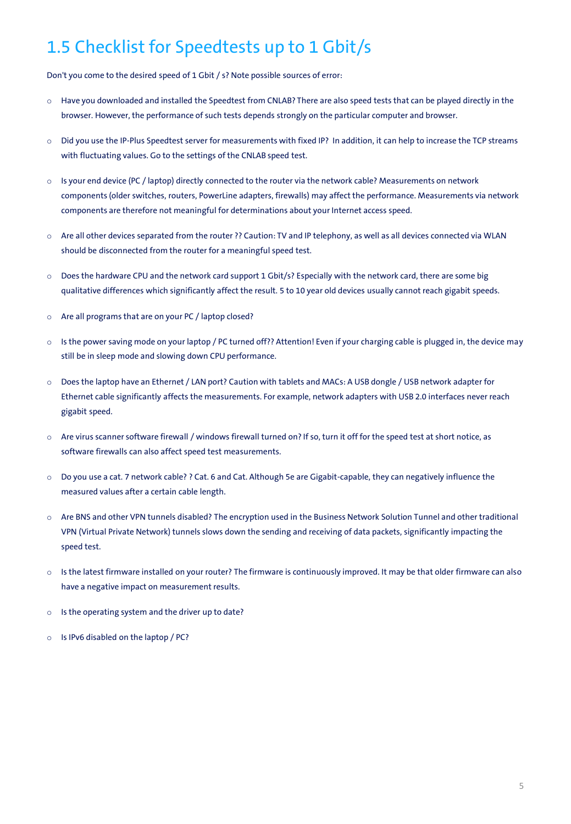# 1.5 Checklist for Speedtests up to 1 Gbit/s

Don't you come to the desired speed of 1 Gbit / s? Note possible sources of error:

- o Have you downloaded and installed the Speedtest from CNLAB? There are also speed tests that can be played directly in the browser. However, the performance of such tests depends strongly on the particular computer and browser.
- o Did you use the IP-Plus Speedtest server for measurements with fixed IP? In addition, it can help to increase the TCP streams with fluctuating values. Go to the settings of the CNLAB speed test.
- $\circ$  Is your end device (PC / laptop) directly connected to the router via the network cable? Measurements on network components (older switches, routers, PowerLine adapters, firewalls) may affect the performance. Measurements via network components are therefore not meaningful for determinations about your Internet access speed.
- o Are all other devices separated from the router ?? Caution: TV and IP telephony, as well as all devices connected via WLAN should be disconnected from the router for a meaningful speed test.
- o Does the hardware CPU and the network card support 1 Gbit/s? Especially with the network card, there are some big qualitative differences which significantly affect the result. 5 to 10 year old devices usually cannot reach gigabit speeds.
- o Are all programs that are on your PC / laptop closed?
- o Is the power saving mode on your laptop / PC turned off?? Attention! Even if your charging cable is plugged in, the device may still be in sleep mode and slowing down CPU performance.
- o Does the laptop have an Ethernet / LAN port? Caution with tablets and MACs: A USB dongle / USB network adapter for Ethernet cable significantly affects the measurements. For example, network adapters with USB 2.0 interfaces never reach gigabit speed.
- o Are virus scanner software firewall / windows firewall turned on? If so, turn it off for the speed test at short notice, as software firewalls can also affect speed test measurements.
- o Do you use a cat. 7 network cable? ? Cat. 6 and Cat. Although 5e are Gigabit-capable, they can negatively influence the measured values after a certain cable length.
- o Are BNS and other VPN tunnels disabled? The encryption used in the Business Network Solution Tunnel and other traditional VPN (Virtual Private Network) tunnels slows down the sending and receiving of data packets, significantly impacting the speed test.
- o Is the latest firmware installed on your router? The firmware is continuously improved. It may be that older firmware can also have a negative impact on measurement results.
- o Is the operating system and the driver up to date?
- o Is IPv6 disabled on the laptop / PC?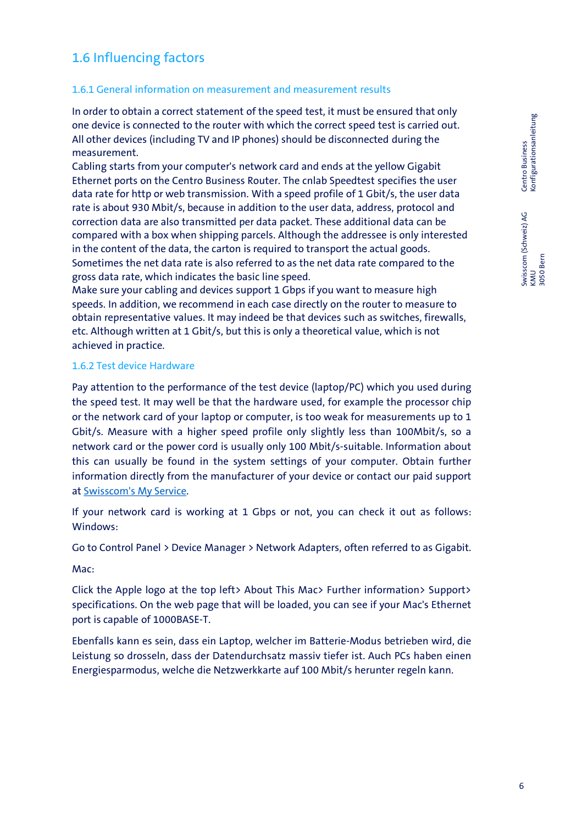# Centro Business<br>Konfigurationsanleitung Konfigurationsanleitung

# 1.6 Influencing factors

### 1.6.1 General information on measurement and measurement results

In order to obtain a correct statement of the speed test, it must be ensured that only one device is connected to the router with which the correct speed test is carried out. All other devices (including TV and IP phones) should be disconnected during the measurement.

Cabling starts from your computer's network card and ends at the yellow Gigabit Ethernet ports on the Centro Business Router. The cnlab Speedtest specifies the user data rate for http or web transmission. With a speed profile of 1 Gbit/s, the user data rate is about 930 Mbit/s, because in addition to the user data, address, protocol and correction data are also transmitted per data packet. These additional data can be compared with a box when shipping parcels. Although the addressee is only interested in the content of the data, the carton is required to transport the actual goods. Sometimes the net data rate is also referred to as the net data rate compared to the gross data rate, which indicates the basic line speed.

Make sure your cabling and devices support 1 Gbps if you want to measure high speeds. In addition, we recommend in each case directly on the router to measure to obtain representative values. It may indeed be that devices such as switches, firewalls, etc. Although written at 1 Gbit/s, but this is only a theoretical value, which is not achieved in practice.

### 1.6.2 Test device Hardware

Pay attention to the performance of the test device (laptop/PC) which you used during the speed test. It may well be that the hardware used, for example the processor chip or the network card of your laptop or computer, is too weak for measurements up to 1 Gbit/s. Measure with a higher speed profile only slightly less than 100Mbit/s, so a network card or the power cord is usually only 100 Mbit/s-suitable. Information about this can usually be found in the system settings of your computer. Obtain further information directly from the manufacturer of your device or contact our paid support at [Swisscom's](https://www.swisscom.ch/de/business/kmu/internet-festnetz-fernsehen/service/myservice.html) My Service.

If your network card is working at 1 Gbps or not, you can check it out as follows: Windows:

Go to Control Panel > Device Manager > Network Adapters, often referred to as Gigabit.

Mac:

Click the Apple logo at the top left> About This Mac> Further information> Support> specifications. On the web page that will be loaded, you can see if your Mac's Ethernet port is capable of 1000BASE-T.

Ebenfalls kann es sein, dass ein Laptop, welcher im Batterie-Modus betrieben wird, die Leistung so drosseln, dass der Datendurchsatz massiv tiefer ist. Auch PCs haben einen Energiesparmodus, welche die Netzwerkkarte auf 100 Mbit/s herunter regeln kann.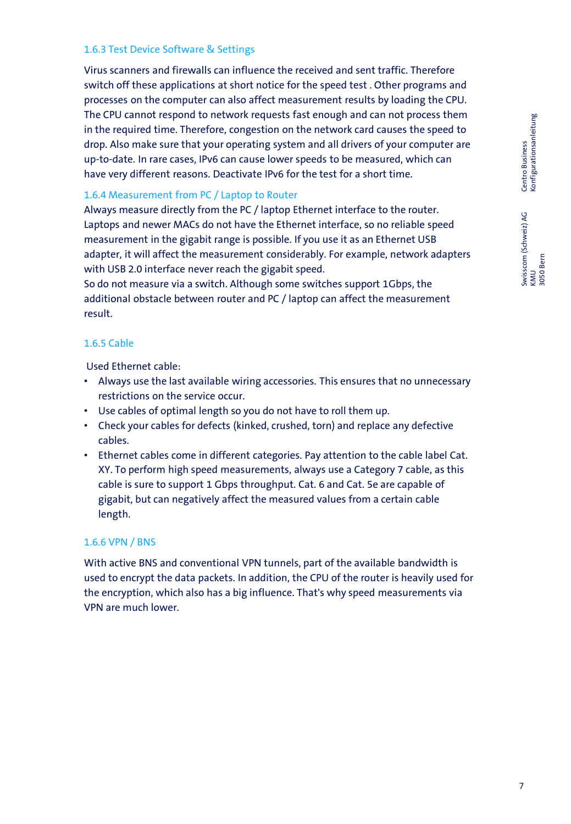### 1.6.3 Test Device Software & Settings

Virus scanners and firewalls can influence the received and sent traffic. Therefore switch off these applications at short notice for the speed test . Other programs and processes on the computer can also affect measurement results by loading the CPU. The CPU cannot respond to network requests fast enough and can not process them in the required time. Therefore, congestion on the network card causes the speed to drop. Also make sure that your operating system and all drivers of your computer are up-to-date. In rare cases, IPv6 can cause lower speeds to be measured, which can have very different reasons. Deactivate IPv6 for the test for a short time.

### 1.6.4 Measurement from PC / Laptop to Router

Always measure directly from the PC / laptop Ethernet interface to the router. Laptops and newer MACs do not have the Ethernet interface, so no reliable speed measurement in the gigabit range is possible. If you use it as an Ethernet USB adapter, it will affect the measurement considerably. For example, network adapters with USB 2.0 interface never reach the gigabit speed.

So do not measure via a switch. Although some switches support 1Gbps, the additional obstacle between router and PC / laptop can affect the measurement result.

### 1.6.5 Cable

Used Ethernet cable:

- Always use the last available wiring accessories. This ensures that no unnecessary restrictions on the service occur.
- Use cables of optimal length so you do not have to roll them up.
- Check your cables for defects (kinked, crushed, torn) and replace any defective cables.
- Ethernet cables come in different categories. Pay attention to the cable label Cat. XY. To perform high speed measurements, always use a Category 7 cable, as this cable is sure to support 1 Gbps throughput. Cat. 6 and Cat. 5e are capable of gigabit, but can negatively affect the measured values from a certain cable length.

### 1.6.6 VPN / BNS

With active BNS and conventional VPN tunnels, part of the available bandwidth is used to encrypt the data packets. In addition, the CPU of the router is heavily used for the encryption, which also has a big influence. That's why speed measurements via VPN are much lower.